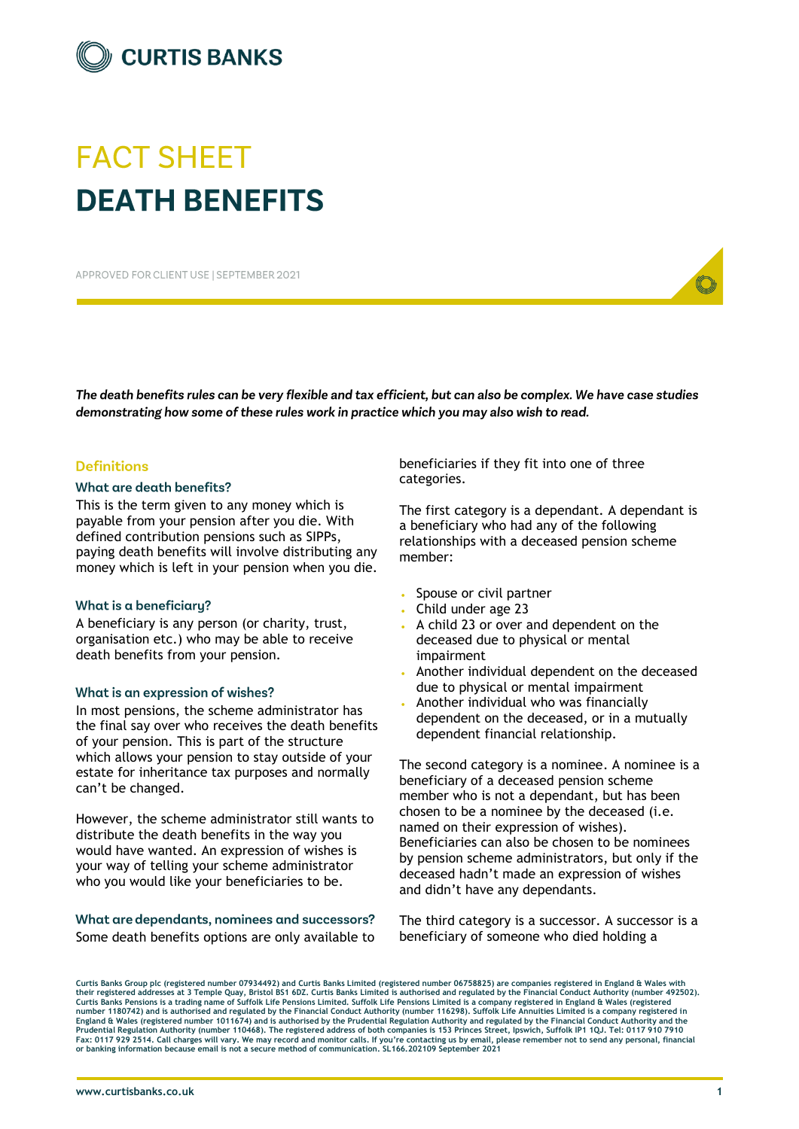

# **FACT SHEET DEATH RENEFITS**

APPROVED FOR CLIENT USE I SEPTEMBER 2021

The death benefits rules can be very flexible and tax efficient, but can also be complex. We have case studies demonstrating how some of these rules work in practice which you may also wish to read.

### **Definitions**

#### What are death benefits?

This is the term given to any money which is payable from your pension after you die. With defined contribution pensions such as SIPPs, paying death benefits will involve distributing any money which is left in your pension when you die.

#### What is a beneficiary?

A beneficiary is any person (or charity, trust, organisation etc.) who may be able to receive death benefits from your pension.

#### What is an expression of wishes?

In most pensions, the scheme administrator has the final say over who receives the death benefits of your pension. This is part of the structure which allows your pension to stay outside of your estate for inheritance tax purposes and normally can't be changed.

However, the scheme administrator still wants to distribute the death benefits in the way you would have wanted. An expression of wishes is your way of telling your scheme administrator who you would like your beneficiaries to be.

### What are dependants, nominees and successors? Some death benefits options are only available to

beneficiaries if they fit into one of three categories.

The first category is a dependant. A dependant is a beneficiary who had any of the following relationships with a deceased pension scheme member:

- Spouse or civil partner
- Child under age 23
- A child 23 or over and dependent on the deceased due to physical or mental impairment
- Another individual dependent on the deceased due to physical or mental impairment
- Another individual who was financially dependent on the deceased, or in a mutually dependent financial relationship.

The second category is a nominee. A nominee is a beneficiary of a deceased pension scheme member who is not a dependant, but has been chosen to be a nominee by the deceased (i.e. named on their expression of wishes). Beneficiaries can also be chosen to be nominees by pension scheme administrators, but only if the deceased hadn't made an expression of wishes and didn't have any dependants.

The third category is a successor. A successor is a beneficiary of someone who died holding a

**Curtis Banks Group plc (registered number 07934492) and Curtis Banks Limited (registered number 06758825) are companies registered in England & Wales with their registered addresses at 3 Temple Quay, Bristol BS1 6DZ. Curtis Banks Limited is authorised and regulated by the Financial Conduct Authority (number 492502).** Curtis Banks Pensions is a trading name of Suffolk Life Pensions Limited. Suffolk Life Pensions Limited is a company registered in England & Wales (registered<br>number 1180742) and is authorised and regulated by the Financia **Prudential Regulation Authority (number 110468). The registered address of both companies is 153 Princes Street, Ipswich, Suffolk IP1 1QJ. Tel: 0117 910 7910 Fax: 0117 929 2514. Call charges will vary. We may record and monitor calls. If you're contacting us by email, please remember not to send any personal, financial or banking information because email is not a secure method of communication. SL166.202109 September 2021**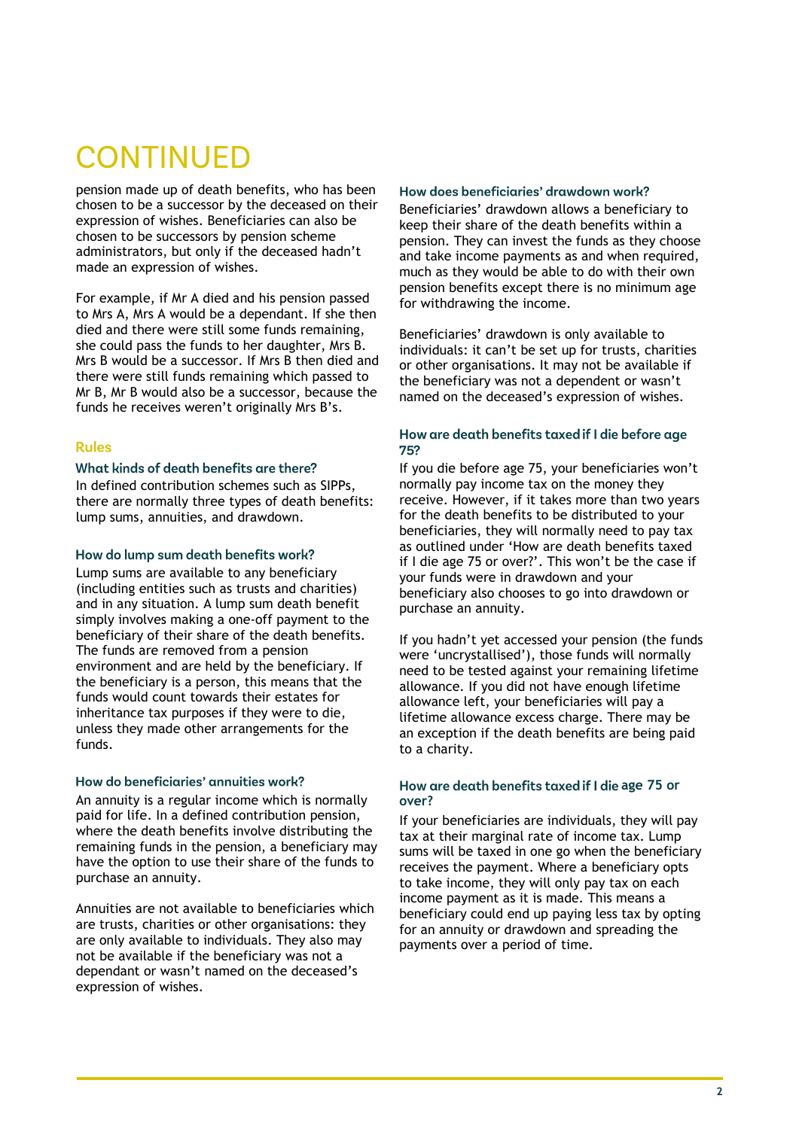# **CONTINUED**

pension made up of death benefits, who has been chosen to be a successor by the deceased on their expression of wishes. Beneficiaries can also be chosen to be successors by pension scheme administrators, but only if the deceased hadn't made an expression of wishes.

For example, if Mr A died and his pension passed to Mrs A, Mrs A would be a dependant. If she then died and there were still some funds remaining, she could pass the funds to her daughter, Mrs B. Mrs B would be a successor. If Mrs B then died and there were still funds remaining which passed to Mr B, Mr B would also be a successor, because the funds he receives weren't originally Mrs B's.

## **Rules**

### What kinds of death benefits are there?

In defined contribution schemes such as SIPPs, there are normally three types of death benefits: lump sums, annuities, and drawdown.

#### How do lump sum death benefits work?

Lump sums are available to any beneficiary (including entities such as trusts and charities) and in any situation. A lump sum death benefit simply involves making a one-off payment to the beneficiary of their share of the death benefits. The funds are removed from a pension environment and are held by the beneficiary. If the beneficiary is a person, this means that the funds would count towards their estates for inheritance tax purposes if they were to die, unless they made other arrangements for the funds.

#### How do beneficiaries' annuities work?

An annuity is a regular income which is normally paid for life. In a defined contribution pension, where the death benefits involve distributing the remaining funds in the pension, a beneficiary may have the option to use their share of the funds to purchase an annuity.

Annuities are not available to beneficiaries which are trusts, charities or other organisations: they are only available to individuals. They also may not be available if the beneficiary was not a dependant or wasn't named on the deceased's expression of wishes.

#### How does beneficiaries' drawdown work?

Beneficiaries' drawdown allows a beneficiary to keep their share of the death benefits within a pension. They can invest the funds as they choose and take income payments as and when required, much as they would be able to do with their own pension benefits except there is no minimum age for withdrawing the income.

Beneficiaries' drawdown is only available to individuals: it can't be set up for trusts, charities or other organisations. It may not be available if the beneficiary was not a dependent or wasn't named on the deceased's expression of wishes.

#### How are death benefits taxed if I die before age 752

If you die before age 75, your beneficiaries won't normally pay income tax on the money they receive. However, if it takes more than two years for the death benefits to be distributed to your beneficiaries, they will normally need to pay tax as outlined under 'How are death benefits taxed if I die age 75 or over?'. This won't be the case if your funds were in drawdown and your beneficiary also chooses to go into drawdown or purchase an annuity.

If you hadn't yet accessed your pension (the funds were 'uncrystallised'), those funds will normally need to be tested against your remaining lifetime allowance. If you did not have enough lifetime allowance left, your beneficiaries will pay a lifetime allowance excess charge. There may be an exception if the death benefits are being paid to a charity.

#### How are death benefits taxed if I die age 75 or **over?**

If your beneficiaries are individuals, they will pay tax at their marginal rate of income tax. Lump sums will be taxed in one go when the beneficiary receives the payment. Where a beneficiary opts to take income, they will only pay tax on each income payment as it is made. This means a beneficiary could end up paying less tax by opting for an annuity or drawdown and spreading the payments over a period of time.